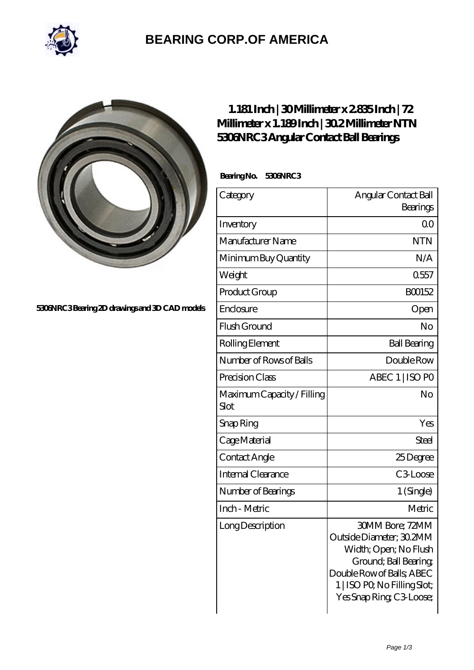

## **[BEARING CORP.OF AMERICA](https://m.bluemondayreview.com)**



**[5306NRC3 Bearing 2D drawings and 3D CAD models](https://m.bluemondayreview.com/pic-172664.html)**

## **[1.181 Inch | 30 Millimeter x 2.835 Inch | 72](https://m.bluemondayreview.com/bs-172664-ntn-5306nrc3-angular-contact-ball-bearings.html) [Millimeter x 1.189 Inch | 30.2 Millimeter NTN](https://m.bluemondayreview.com/bs-172664-ntn-5306nrc3-angular-contact-ball-bearings.html) [5306NRC3 Angular Contact Ball Bearings](https://m.bluemondayreview.com/bs-172664-ntn-5306nrc3-angular-contact-ball-bearings.html)**

 **Bearing No. 5306NRC3**

| Category                           | Angular Contact Ball                                                                                                                                                                         |
|------------------------------------|----------------------------------------------------------------------------------------------------------------------------------------------------------------------------------------------|
|                                    | Bearings                                                                                                                                                                                     |
| Inventory                          | 0 <sup>0</sup>                                                                                                                                                                               |
| Manufacturer Name                  | <b>NTN</b>                                                                                                                                                                                   |
| Minimum Buy Quantity               | N/A                                                                                                                                                                                          |
| Weight                             | 0557                                                                                                                                                                                         |
| Product Group                      | BO0152                                                                                                                                                                                       |
| Enclosure                          | Open                                                                                                                                                                                         |
| Flush Ground                       | No                                                                                                                                                                                           |
| Rolling Element                    | <b>Ball Bearing</b>                                                                                                                                                                          |
| Number of Rows of Balls            | Double Row                                                                                                                                                                                   |
| Precision Class                    | ABEC 1   ISO PO                                                                                                                                                                              |
| Maximum Capacity / Filling<br>Slot | No                                                                                                                                                                                           |
| Snap Ring                          | Yes                                                                                                                                                                                          |
| Cage Material                      | Steel                                                                                                                                                                                        |
| Contact Angle                      | 25Degree                                                                                                                                                                                     |
| Internal Clearance                 | C <sub>3</sub> Loose                                                                                                                                                                         |
| Number of Bearings                 | 1 (Single)                                                                                                                                                                                   |
| Inch - Metric                      | Metric                                                                                                                                                                                       |
| Long Description                   | <b>30MM Bore; 72MM</b><br>Outside Diameter; 30.2MM<br>Width; Open; No Flush<br>Ground; Ball Bearing;<br>Double Row of Balls, ABEC<br>1   ISO PO, No Filling Slot;<br>Yes Snap Ring C3 Loose; |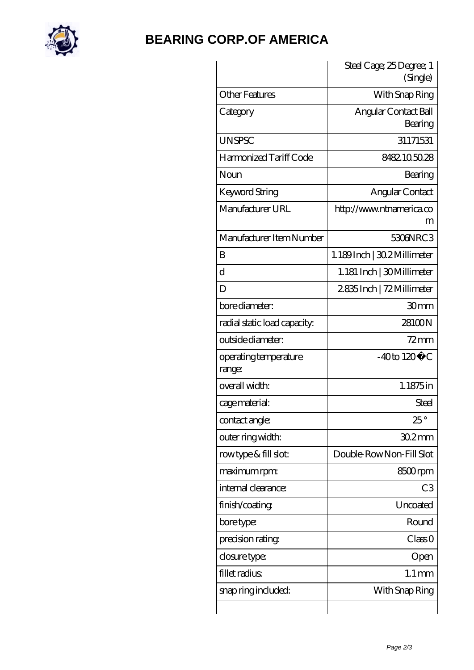

## **[BEARING CORP.OF AMERICA](https://m.bluemondayreview.com)**

|                                 | Steel Cage; 25 Degree; 1<br>(Single) |
|---------------------------------|--------------------------------------|
| <b>Other Features</b>           | With Snap Ring                       |
| Category                        | Angular Contact Ball<br>Bearing      |
| <b>UNSPSC</b>                   | 31171531                             |
| Harmonized Tariff Code          | 8482105028                           |
| Noun                            | Bearing                              |
| Keyword String                  | Angular Contact                      |
| Manufacturer URL                | http://www.ntnamerica.co<br>m        |
| Manufacturer Item Number        | 5306NRC3                             |
| B                               | 1.189Inch   30.2 Millimeter          |
| $\overline{\mathrm{d}}$         | 1.181 Inch   30Millimeter            |
| D                               | 2835Inch   72 Millimeter             |
| bore diameter:                  | 30mm                                 |
| radial static load capacity:    | 28100N                               |
| outside diameter:               | $72 \text{mm}$                       |
| operating temperature<br>range: | $-40$ to $120^{\circ}$ C             |
| overall width:                  | 1.1875in                             |
| cage material:                  | Steel                                |
| contact angle:                  | 25°                                  |
| outer ring width:               | $302$ mm                             |
| rowtype & fill slot:            | Double-RowNon-Fill Slot              |
| maximum rpm:                    | 8500rpm                              |
| internal clearance:             | C <sub>3</sub>                       |
| finish/coating                  | Uncoated                             |
| bore type:                      | Round                                |
| precision rating                | Class 0                              |
| closure type:                   | Open                                 |
| fillet radius                   | $1.1 \,\mathrm{mm}$                  |
| snap ring included:             | With Snap Ring                       |
|                                 |                                      |